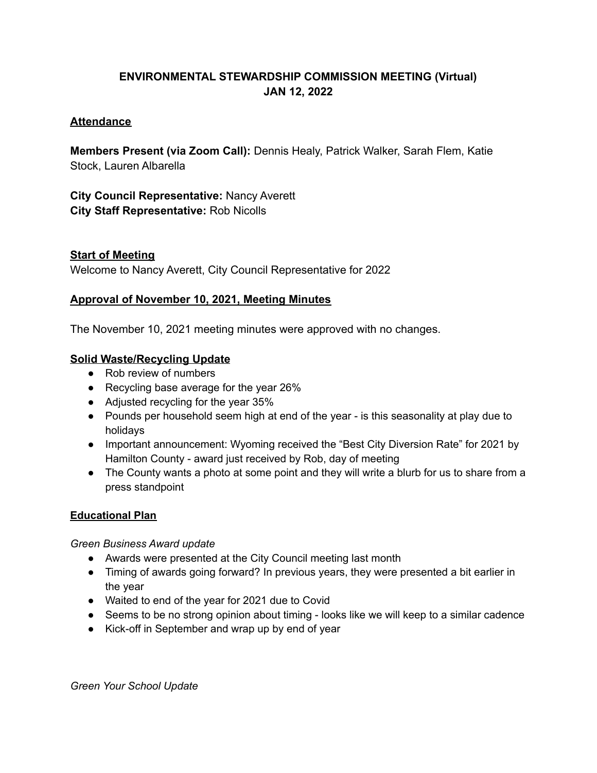# **ENVIRONMENTAL STEWARDSHIP COMMISSION MEETING (Virtual) JAN 12, 2022**

### **Attendance**

**Members Present (via Zoom Call):** Dennis Healy, Patrick Walker, Sarah Flem, Katie Stock, Lauren Albarella

**City Council Representative:** Nancy Averett **City Staff Representative:** Rob Nicolls

### **Start of Meeting**

Welcome to Nancy Averett, City Council Representative for 2022

## **Approval of November 10, 2021, Meeting Minutes**

The November 10, 2021 meeting minutes were approved with no changes.

### **Solid Waste/Recycling Update**

- Rob review of numbers
- Recycling base average for the year 26%
- Adjusted recycling for the year 35%
- Pounds per household seem high at end of the year is this seasonality at play due to holidays
- Important announcement: Wyoming received the "Best City Diversion Rate" for 2021 by Hamilton County - award just received by Rob, day of meeting
- The County wants a photo at some point and they will write a blurb for us to share from a press standpoint

#### **Educational Plan**

*Green Business Award update*

- Awards were presented at the City Council meeting last month
- Timing of awards going forward? In previous years, they were presented a bit earlier in the year
- Waited to end of the year for 2021 due to Covid
- Seems to be no strong opinion about timing looks like we will keep to a similar cadence
- Kick-off in September and wrap up by end of year

*Green Your School Update*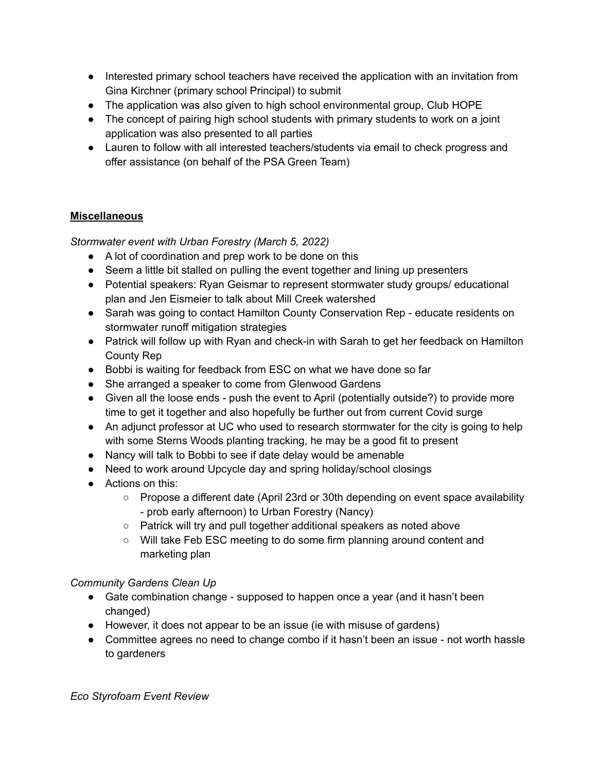- Interested primary school teachers have received the application with an invitation from Gina Kirchner (primary school Principal) to submit
- The application was also given to high school environmental group, Club HOPE
- The concept of pairing high school students with primary students to work on a joint application was also presented to all parties
- Lauren to follow with all interested teachers/students via email to check progress and offer assistance (on behalf of the PSA Green Team)

# **Miscellaneous**

*Stormwater event with Urban Forestry (March 5, 2022)*

- A lot of coordination and prep work to be done on this
- Seem a little bit stalled on pulling the event together and lining up presenters
- Potential speakers: Ryan Geismar to represent stormwater study groups/ educational plan and Jen Eismeier to talk about Mill Creek watershed
- Sarah was going to contact Hamilton County Conservation Rep educate residents on stormwater runoff mitigation strategies
- Patrick will follow up with Ryan and check-in with Sarah to get her feedback on Hamilton County Rep
- Bobbi is waiting for feedback from ESC on what we have done so far
- She arranged a speaker to come from Glenwood Gardens
- Given all the loose ends push the event to April (potentially outside?) to provide more time to get it together and also hopefully be further out from current Covid surge
- An adjunct professor at UC who used to research stormwater for the city is going to help with some Sterns Woods planting tracking, he may be a good fit to present
- Nancy will talk to Bobbi to see if date delay would be amenable
- Need to work around Upcycle day and spring holiday/school closings
- Actions on this:
	- Propose a different date (April 23rd or 30th depending on event space availability - prob early afternoon) to Urban Forestry (Nancy)
	- Patrick will try and pull together additional speakers as noted above
	- Will take Feb ESC meeting to do some firm planning around content and marketing plan

# *Community Gardens Clean Up*

- Gate combination change supposed to happen once a year (and it hasn't been changed)
- However, it does not appear to be an issue (ie with misuse of gardens)
- Committee agrees no need to change combo if it hasn't been an issue not worth hassle to gardeners

*Eco Styrofoam Event Review*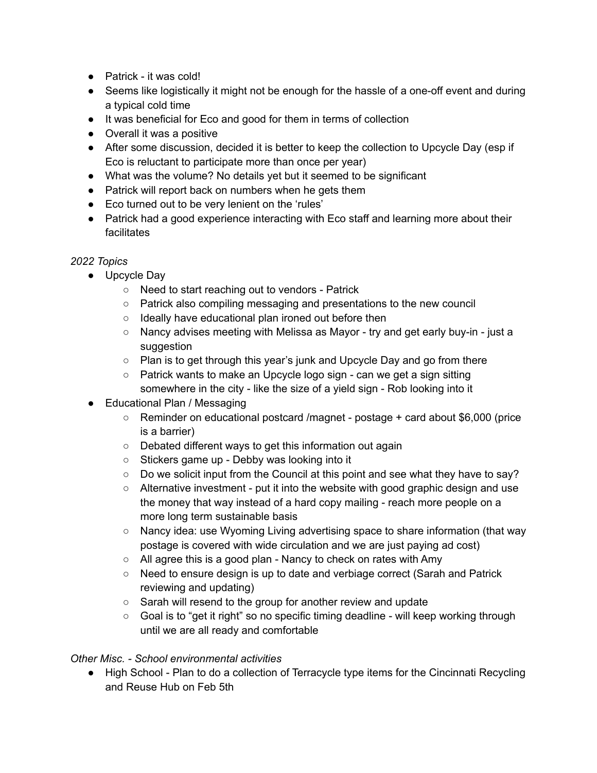- Patrick it was cold!
- Seems like logistically it might not be enough for the hassle of a one-off event and during a typical cold time
- It was beneficial for Eco and good for them in terms of collection
- Overall it was a positive
- After some discussion, decided it is better to keep the collection to Upcycle Day (esp if Eco is reluctant to participate more than once per year)
- What was the volume? No details yet but it seemed to be significant
- Patrick will report back on numbers when he gets them
- Eco turned out to be very lenient on the 'rules'
- Patrick had a good experience interacting with Eco staff and learning more about their facilitates

## *2022 Topics*

- Upcycle Day
	- Need to start reaching out to vendors Patrick
	- Patrick also compiling messaging and presentations to the new council
	- Ideally have educational plan ironed out before then
	- Nancy advises meeting with Melissa as Mayor try and get early buy-in just a suggestion
	- Plan is to get through this year's junk and Upcycle Day and go from there
	- Patrick wants to make an Upcycle logo sign can we get a sign sitting somewhere in the city - like the size of a yield sign - Rob looking into it
- Educational Plan / Messaging
	- Reminder on educational postcard /magnet postage + card about \$6,000 (price is a barrier)
	- Debated different ways to get this information out again
	- Stickers game up Debby was looking into it
	- $\circ$  Do we solicit input from the Council at this point and see what they have to say?
	- Alternative investment put it into the website with good graphic design and use the money that way instead of a hard copy mailing - reach more people on a more long term sustainable basis
	- Nancy idea: use Wyoming Living advertising space to share information (that way postage is covered with wide circulation and we are just paying ad cost)
	- All agree this is a good plan Nancy to check on rates with Amy
	- Need to ensure design is up to date and verbiage correct (Sarah and Patrick reviewing and updating)
	- Sarah will resend to the group for another review and update
	- Goal is to "get it right" so no specific timing deadline will keep working through until we are all ready and comfortable

## *Other Misc. - School environmental activities*

● High School - Plan to do a collection of Terracycle type items for the Cincinnati Recycling and Reuse Hub on Feb 5th